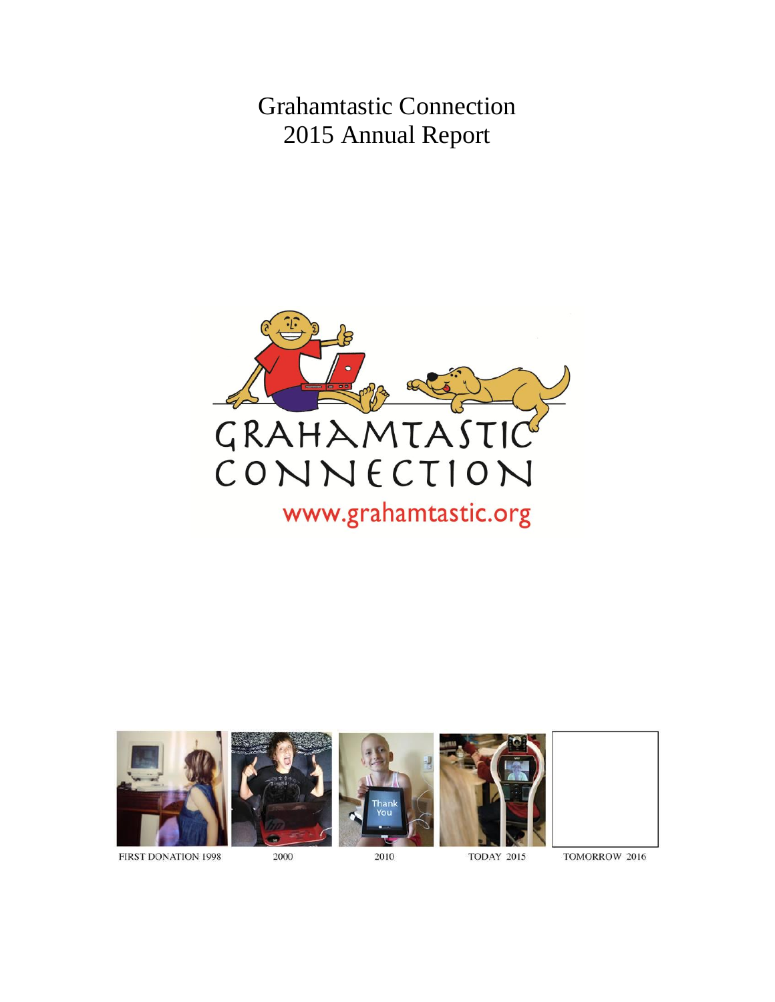Grahamtastic Connection 2015 Annual Report



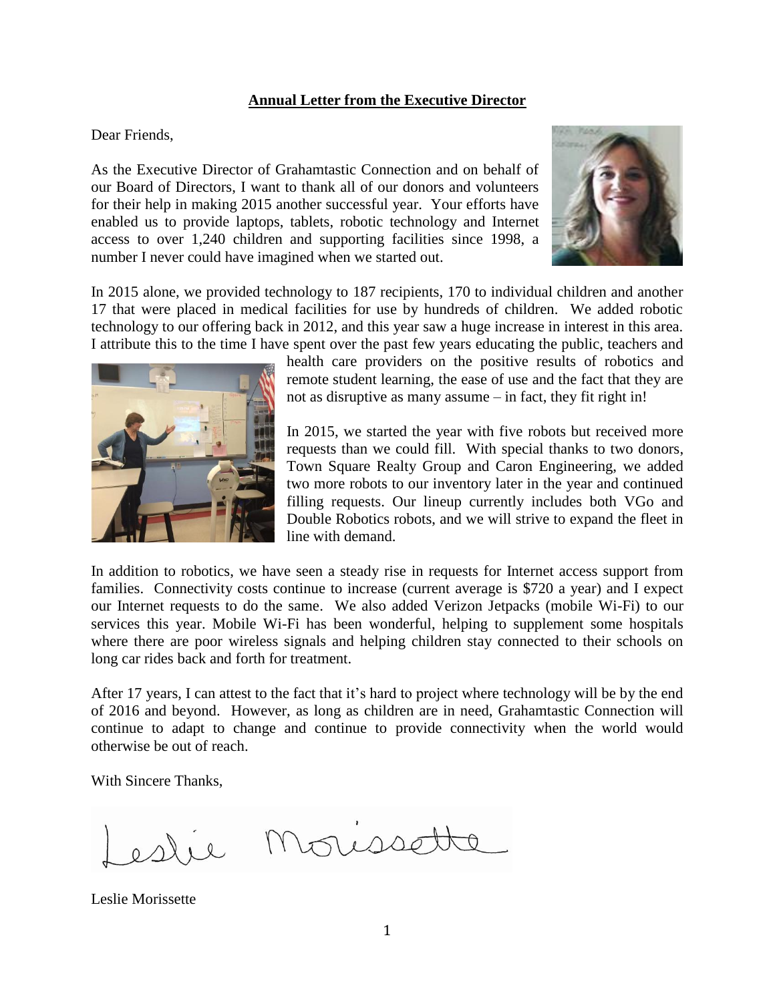# **Annual Letter from the Executive Director**

Dear Friends,

As the Executive Director of Grahamtastic Connection and on behalf of our Board of Directors, I want to thank all of our donors and volunteers for their help in making 2015 another successful year. Your efforts have enabled us to provide laptops, tablets, robotic technology and Internet access to over 1,240 children and supporting facilities since 1998, a number I never could have imagined when we started out.



In 2015 alone, we provided technology to 187 recipients, 170 to individual children and another 17 that were placed in medical facilities for use by hundreds of children. We added robotic technology to our offering back in 2012, and this year saw a huge increase in interest in this area. I attribute this to the time I have spent over the past few years educating the public, teachers and



health care providers on the positive results of robotics and remote student learning, the ease of use and the fact that they are not as disruptive as many assume – in fact, they fit right in!

In 2015, we started the year with five robots but received more requests than we could fill. With special thanks to two donors, Town Square Realty Group and Caron Engineering, we added two more robots to our inventory later in the year and continued filling requests. Our lineup currently includes both VGo and Double Robotics robots, and we will strive to expand the fleet in line with demand.

In addition to robotics, we have seen a steady rise in requests for Internet access support from families. Connectivity costs continue to increase (current average is \$720 a year) and I expect our Internet requests to do the same. We also added Verizon Jetpacks (mobile Wi-Fi) to our services this year. Mobile Wi-Fi has been wonderful, helping to supplement some hospitals where there are poor wireless signals and helping children stay connected to their schools on long car rides back and forth for treatment.

After 17 years, I can attest to the fact that it's hard to project where technology will be by the end of 2016 and beyond. However, as long as children are in need, Grahamtastic Connection will continue to adapt to change and continue to provide connectivity when the world would otherwise be out of reach.

With Sincere Thanks,

Leslie Morissette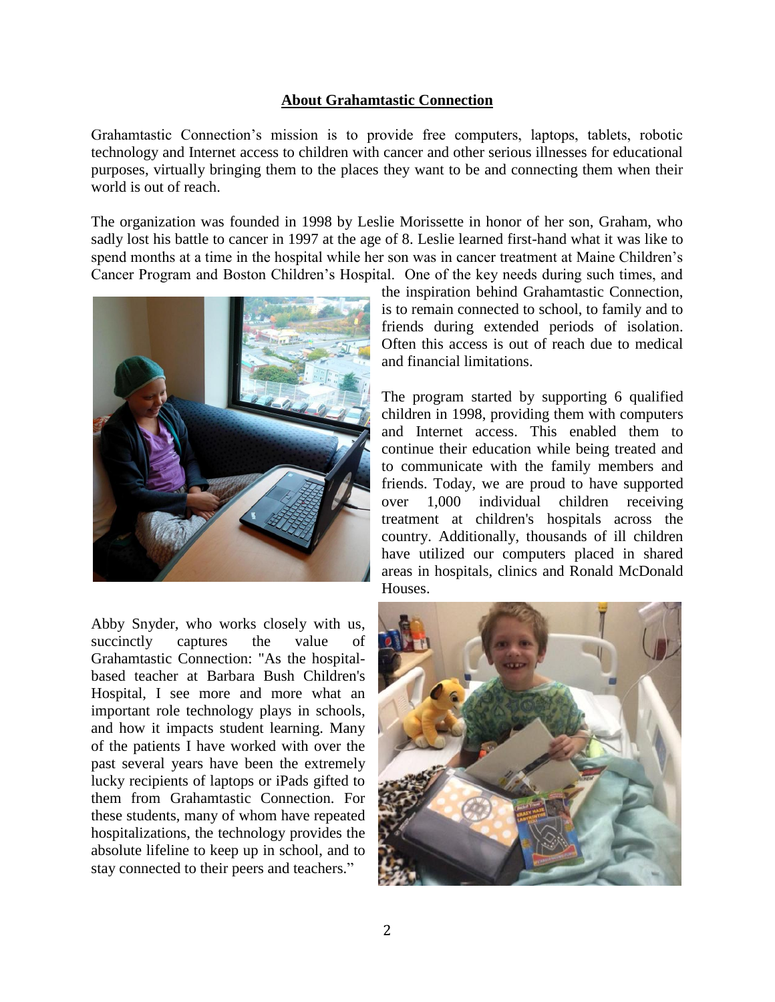#### **About Grahamtastic Connection**

Grahamtastic Connection's mission is to provide free computers, laptops, tablets, robotic technology and Internet access to children with cancer and other serious illnesses for educational purposes, virtually bringing them to the places they want to be and connecting them when their world is out of reach.

The organization was founded in 1998 by Leslie Morissette in honor of her son, Graham, who sadly lost his battle to cancer in 1997 at the age of 8. Leslie learned first-hand what it was like to spend months at a time in the hospital while her son was in cancer treatment at Maine Children's Cancer Program and Boston Children's Hospital. One of the key needs during such times, and



Abby Snyder, who works closely with us, succinctly captures the value of Grahamtastic Connection: "As the hospitalbased teacher at Barbara Bush Children's Hospital, I see more and more what an important role technology plays in schools, and how it impacts student learning. Many of the patients I have worked with over the past several years have been the extremely lucky recipients of laptops or iPads gifted to them from Grahamtastic Connection. For these students, many of whom have repeated hospitalizations, the technology provides the absolute lifeline to keep up in school, and to stay connected to their peers and teachers."

the inspiration behind Grahamtastic Connection, is to remain connected to school, to family and to friends during extended periods of isolation. Often this access is out of reach due to medical and financial limitations.

The program started by supporting 6 qualified children in 1998, providing them with computers and Internet access. This enabled them to continue their education while being treated and to communicate with the family members and friends. Today, we are proud to have supported over 1,000 individual children receiving treatment at children's hospitals across the country. Additionally, thousands of ill children have utilized our computers placed in shared areas in hospitals, clinics and Ronald McDonald Houses.

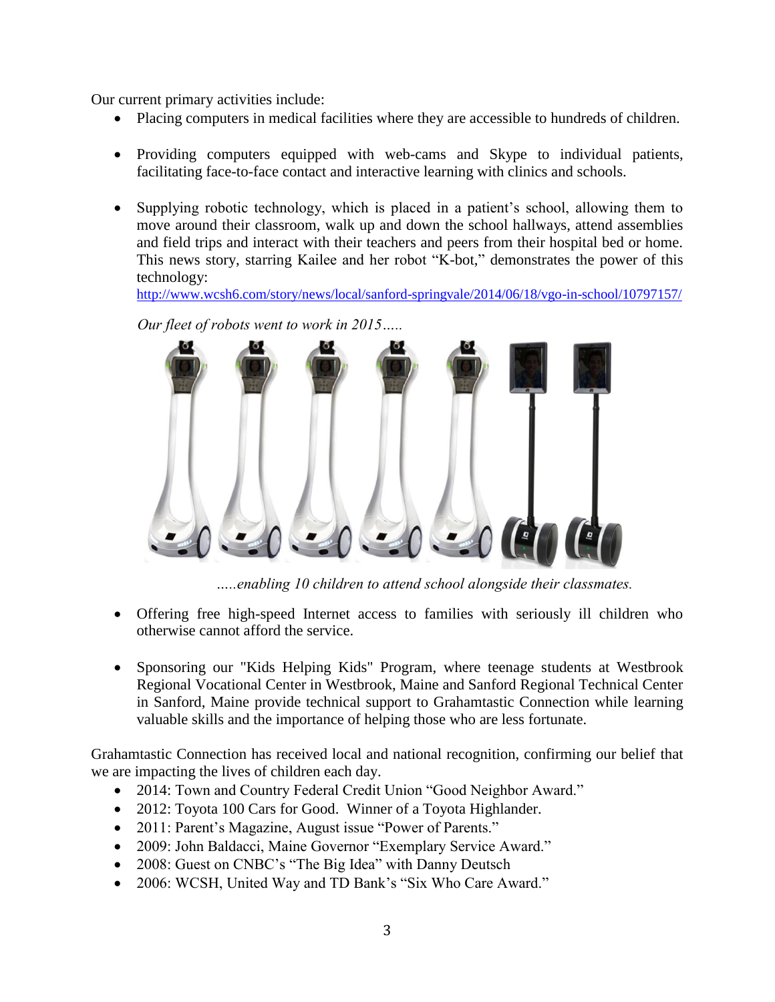Our current primary activities include:

- Placing computers in medical facilities where they are accessible to hundreds of children.
- Providing computers equipped with web-cams and Skype to individual patients, facilitating face-to-face contact and interactive learning with clinics and schools.
- Supplying robotic technology, which is placed in a patient's school, allowing them to move around their classroom, walk up and down the school hallways, attend assemblies and field trips and interact with their teachers and peers from their hospital bed or home. This news story, starring Kailee and her robot "K-bot," demonstrates the power of this technology:

<http://www.wcsh6.com/story/news/local/sanford-springvale/2014/06/18/vgo-in-school/10797157/>

*Our fleet of robots went to work in 2015…..*



*…..enabling 10 children to attend school alongside their classmates.*

- Offering free high-speed Internet access to families with seriously ill children who otherwise cannot afford the service.
- Sponsoring our "Kids Helping Kids" Program, where teenage students at Westbrook Regional Vocational Center in Westbrook, Maine and Sanford Regional Technical Center in Sanford, Maine provide technical support to Grahamtastic Connection while learning valuable skills and the importance of helping those who are less fortunate.

Grahamtastic Connection has received local and national recognition, confirming our belief that we are impacting the lives of children each day.

- 2014: Town and Country Federal Credit Union "Good Neighbor Award."
- 2012: Toyota 100 Cars for Good. Winner of a Toyota Highlander.
- 2011: Parent's Magazine, August issue "Power of Parents."
- 2009: John Baldacci, Maine Governor "Exemplary Service Award."
- 2008: Guest on CNBC's "The Big Idea" with Danny Deutsch
- 2006: WCSH, United Way and TD Bank's "Six Who Care Award."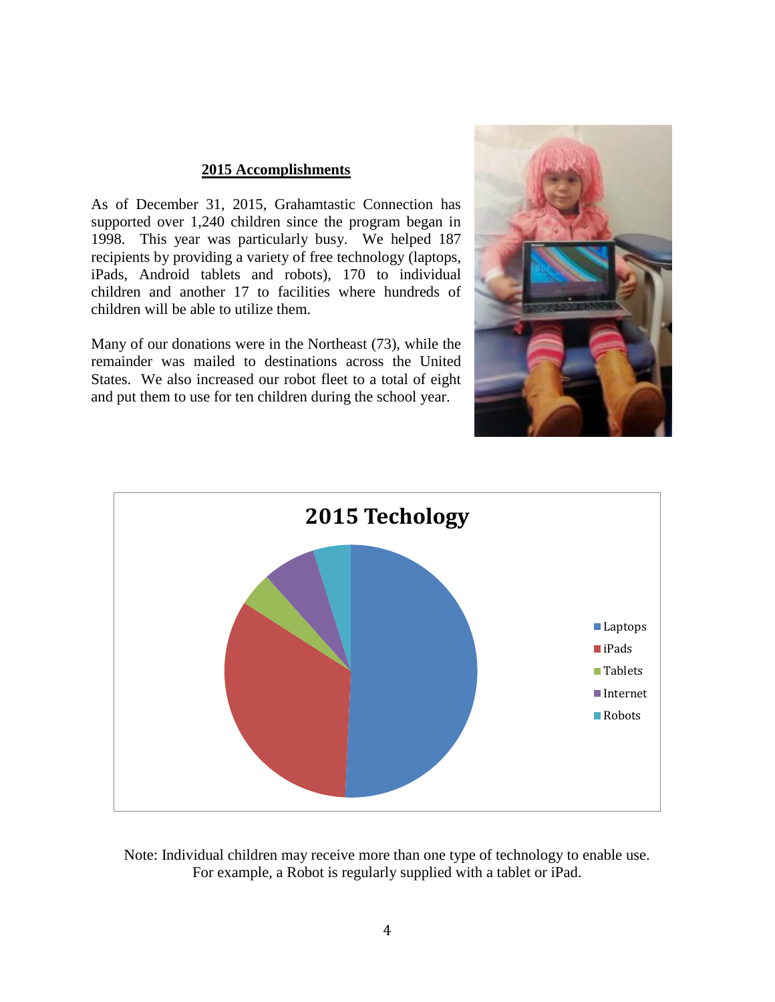# **2015 Accomplishments**

As of December 31, 2015, Grahamtastic Connection has supported over 1,240 children since the program began in 1998. This year was particularly busy. We helped 187 recipients by providing a variety of free technology (laptops, iPads, Android tablets and robots), 170 to individual children and another 17 to facilities where hundreds of children will be able to utilize them.

Many of our donations were in the Northeast (73), while the remainder was mailed to destinations across the United States. We also increased our robot fleet to a total of eight and put them to use for ten children during the school year.





Note: Individual children may receive more than one type of technology to enable use. For example, a Robot is regularly supplied with a tablet or iPad.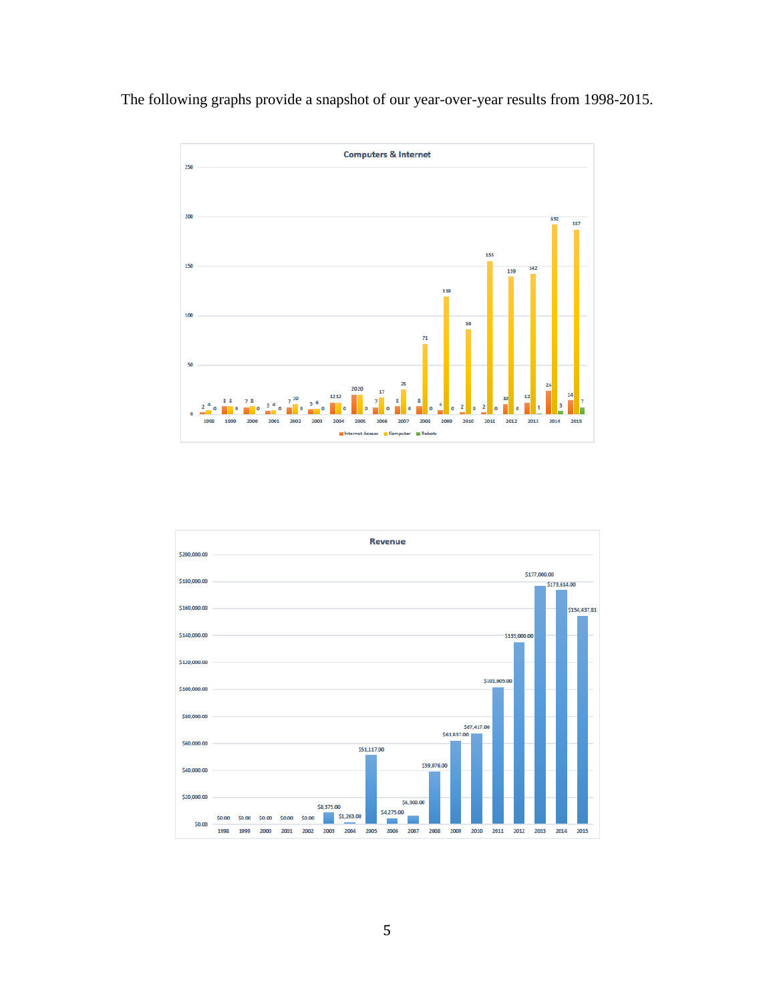The following graphs provide a snapshot of our year-over-year results from 1998-2015.



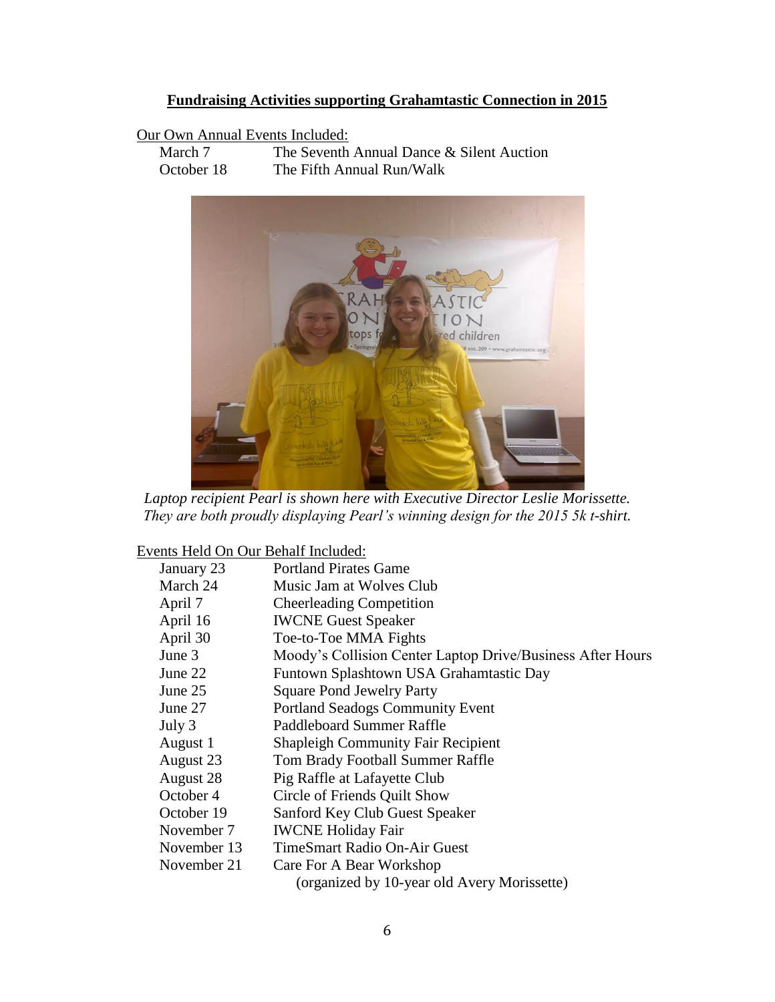# **Fundraising Activities supporting Grahamtastic Connection in 2015**

# Our Own Annual Events Included:

March 7 The Seventh Annual Dance & Silent Auction October 18 The Fifth Annual Run/Walk



*Laptop recipient Pearl is shown here with Executive Director Leslie Morissette. They are both proudly displaying Pearl's winning design for the 2015 5k t-shirt.*

Events Held On Our Behalf Included:

| January 23  | <b>Portland Pirates Game</b>                               |
|-------------|------------------------------------------------------------|
| March 24    | Music Jam at Wolves Club                                   |
| April 7     | <b>Cheerleading Competition</b>                            |
| April 16    | <b>IWCNE Guest Speaker</b>                                 |
| April 30    | Toe-to-Toe MMA Fights                                      |
| June 3      | Moody's Collision Center Laptop Drive/Business After Hours |
| June 22     | Funtown Splashtown USA Grahamtastic Day                    |
| June 25     | <b>Square Pond Jewelry Party</b>                           |
| June 27     | <b>Portland Seadogs Community Event</b>                    |
| July 3      | Paddleboard Summer Raffle                                  |
| August 1    | <b>Shapleigh Community Fair Recipient</b>                  |
| August 23   | Tom Brady Football Summer Raffle                           |
| August 28   | Pig Raffle at Lafayette Club                               |
| October 4   | Circle of Friends Quilt Show                               |
| October 19  | Sanford Key Club Guest Speaker                             |
| November 7  | <b>IWCNE Holiday Fair</b>                                  |
| November 13 | <b>TimeSmart Radio On-Air Guest</b>                        |
| November 21 | Care For A Bear Workshop                                   |
|             | (organized by 10-year old Avery Morissette)                |